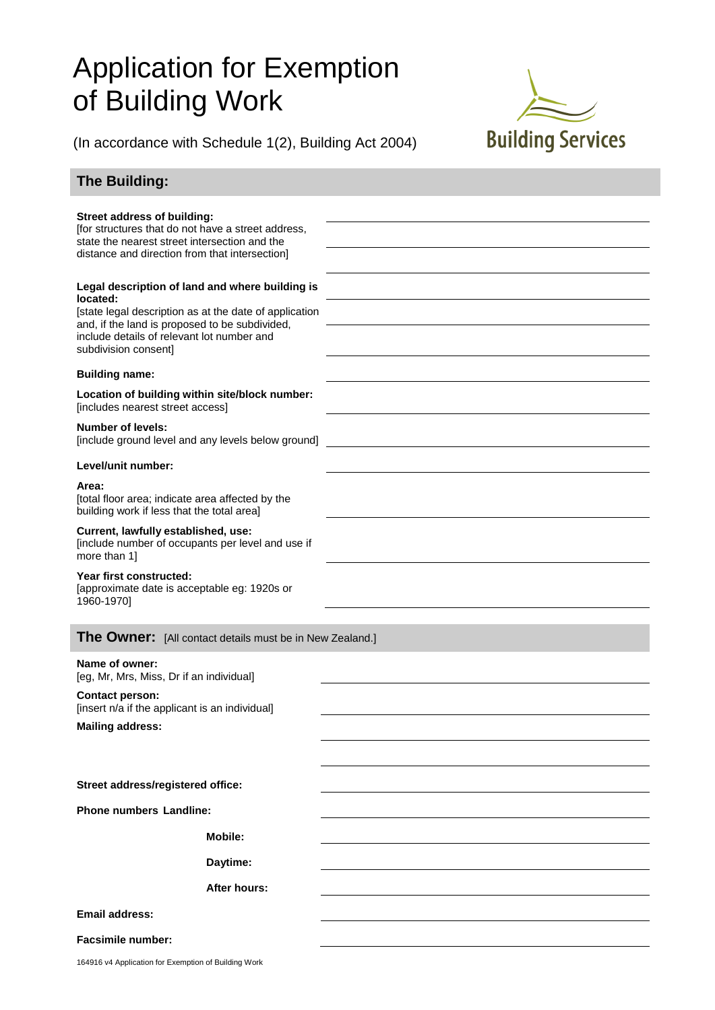## Application for Exemption of Building Work



(In accordance with Schedule 1(2), Building Act 2004)

## **The Building:**

| <b>Street address of building:</b><br>[for structures that do not have a street address,<br>state the nearest street intersection and the<br>distance and direction from that intersection]                                                   |                     |  |
|-----------------------------------------------------------------------------------------------------------------------------------------------------------------------------------------------------------------------------------------------|---------------------|--|
| Legal description of land and where building is<br>located:<br>[state legal description as at the date of application<br>and, if the land is proposed to be subdivided,<br>include details of relevant lot number and<br>subdivision consent] |                     |  |
| <b>Building name:</b>                                                                                                                                                                                                                         |                     |  |
| Location of building within site/block number:<br>[includes nearest street access]                                                                                                                                                            |                     |  |
| <b>Number of levels:</b><br>[include ground level and any levels below ground]                                                                                                                                                                |                     |  |
| Level/unit number:                                                                                                                                                                                                                            |                     |  |
| Area:<br>[total floor area; indicate area affected by the<br>building work if less that the total area]                                                                                                                                       |                     |  |
| Current, lawfully established, use:<br>[include number of occupants per level and use if<br>more than 1]                                                                                                                                      |                     |  |
| Year first constructed:<br>[approximate date is acceptable eg: 1920s or<br>1960-1970]                                                                                                                                                         |                     |  |
| <b>The Owner:</b> [All contact details must be in New Zealand.]                                                                                                                                                                               |                     |  |
| Name of owner:<br>[eg, Mr, Mrs, Miss, Dr if an individual]                                                                                                                                                                                    |                     |  |
| <b>Contact person:</b><br>[insert n/a if the applicant is an individual]                                                                                                                                                                      |                     |  |
| <b>Mailing address:</b>                                                                                                                                                                                                                       |                     |  |
|                                                                                                                                                                                                                                               |                     |  |
| Street address/registered office:                                                                                                                                                                                                             |                     |  |
| <b>Phone numbers Landline:</b>                                                                                                                                                                                                                |                     |  |
|                                                                                                                                                                                                                                               | Mobile:             |  |
|                                                                                                                                                                                                                                               | Daytime:            |  |
|                                                                                                                                                                                                                                               | <b>After hours:</b> |  |
| <b>Email address:</b>                                                                                                                                                                                                                         |                     |  |
|                                                                                                                                                                                                                                               |                     |  |
| <b>Facsimile number:</b>                                                                                                                                                                                                                      |                     |  |